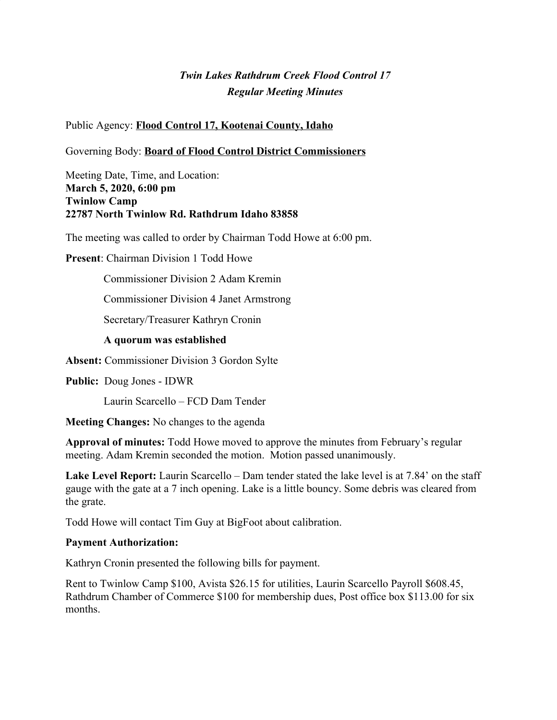# *Twin Lakes Rathdrum Creek Flood Control 17 Regular Meeting Minutes*

Public Agency: **Flood Control 17, Kootenai County, Idaho**

Governing Body: **Board of Flood Control District Commissioners**

Meeting Date, Time, and Location: **March 5, 2020, 6:00 pm Twinlow Camp 22787 North Twinlow Rd. Rathdrum Idaho 83858**

The meeting was called to order by Chairman Todd Howe at 6:00 pm.

**Present:** Chairman Division 1 Todd Howe

Commissioner Division 2 Adam Kremin

Commissioner Division 4 Janet Armstrong

Secretary/Treasurer Kathryn Cronin

#### **A quorum was established**

**Absent:** Commissioner Division 3 Gordon Sylte

**Public:** Doug Jones - IDWR

Laurin Scarcello – FCD Dam Tender

**Meeting Changes:** No changes to the agenda

**Approval of minutes:** Todd Howe moved to approve the minutes from February's regular meeting. Adam Kremin seconded the motion. Motion passed unanimously.

**Lake Level Report:** Laurin Scarcello – Dam tender stated the lake level is at 7.84' on the staff gauge with the gate at a 7 inch opening. Lake is a little bouncy. Some debris was cleared from the grate.

Todd Howe will contact Tim Guy at BigFoot about calibration.

#### **Payment Authorization:**

Kathryn Cronin presented the following bills for payment.

Rent to Twinlow Camp \$100, Avista \$26.15 for utilities, Laurin Scarcello Payroll \$608.45, Rathdrum Chamber of Commerce \$100 for membership dues, Post office box \$113.00 for six months.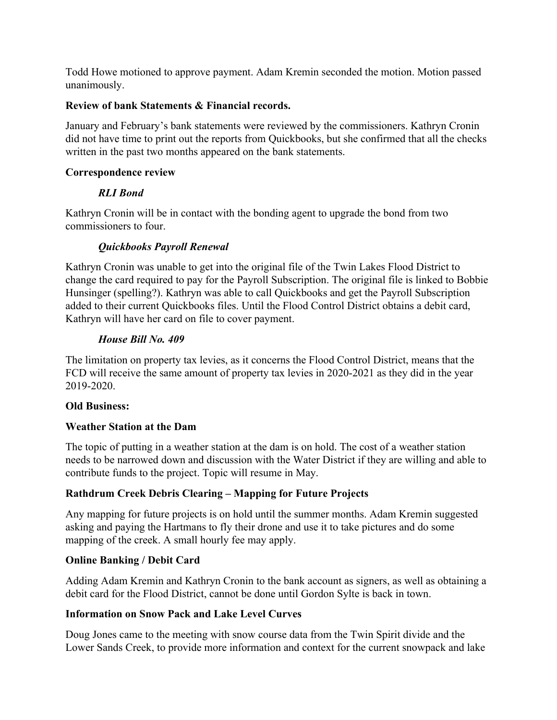Todd Howe motioned to approve payment. Adam Kremin seconded the motion. Motion passed unanimously.

#### **Review of bank Statements & Financial records.**

January and February's bank statements were reviewed by the commissioners. Kathryn Cronin did not have time to print out the reports from Quickbooks, but she confirmed that all the checks written in the past two months appeared on the bank statements.

#### **Correspondence review**

#### *RLI Bond*

Kathryn Cronin will be in contact with the bonding agent to upgrade the bond from two commissioners to four.

# *Quickbooks Payroll Renewal*

Kathryn Cronin was unable to get into the original file of the Twin Lakes Flood District to change the card required to pay for the Payroll Subscription. The original file is linked to Bobbie Hunsinger (spelling?). Kathryn was able to call Quickbooks and get the Payroll Subscription added to their current Quickbooks files. Until the Flood Control District obtains a debit card, Kathryn will have her card on file to cover payment.

#### *House Bill No. 409*

The limitation on property tax levies, as it concerns the Flood Control District, means that the FCD will receive the same amount of property tax levies in 2020-2021 as they did in the year 2019-2020.

#### **Old Business:**

# **Weather Station at the Dam**

The topic of putting in a weather station at the dam is on hold. The cost of a weather station needs to be narrowed down and discussion with the Water District if they are willing and able to contribute funds to the project. Topic will resume in May.

# **Rathdrum Creek Debris Clearing – Mapping for Future Projects**

Any mapping for future projects is on hold until the summer months. Adam Kremin suggested asking and paying the Hartmans to fly their drone and use it to take pictures and do some mapping of the creek. A small hourly fee may apply.

#### **Online Banking / Debit Card**

Adding Adam Kremin and Kathryn Cronin to the bank account as signers, as well as obtaining a debit card for the Flood District, cannot be done until Gordon Sylte is back in town.

#### **Information on Snow Pack and Lake Level Curves**

Doug Jones came to the meeting with snow course data from the Twin Spirit divide and the Lower Sands Creek, to provide more information and context for the current snowpack and lake